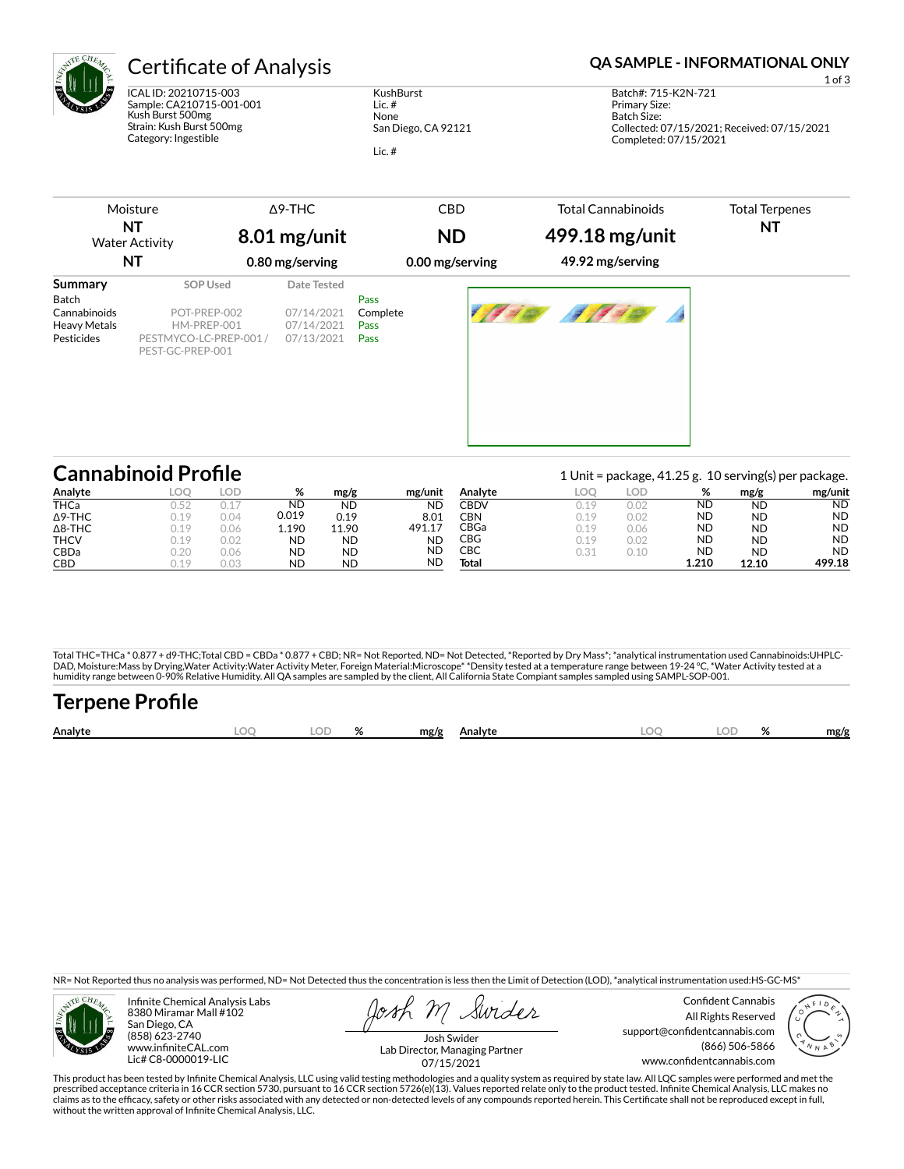

ICAL ID: 20210715-003 Sample: CA210715-001-001 Kush Burst 500mg Strain: Kush Burst 500mg Category: Ingestible

**KushBurst** Lic. # None San Diego, CA 92121 Lic. #

# Certificate of Analysis **Certificate of Analysis QA SAMPLE - INFORMATIONAL ONLY**

Completed: 07/15/2021

Batch Size:

Moisture **NT** Water Activity **NT** Δ9-THC CBD **ND 0.00 mg/serving** Total Cannabinoids Total Terpenes **NT Summary SOP Used** Date Tested Batch **Pass** Cannabinoids POT-PREP-002 07/14/2021 Complete Heavy Metals HM-PREP-001 07/14/2021 Pass<br>
Pesticides PESTMYCO-LC-PREP-001/ 07/13/2021 Pass PESTMYCO-LC-PREP-001 / PEST-GC-PREP-001 Pass **8.01 mg/unit 0.80 mg/serving 499.18 mg/unit 49.92 mg/serving** 07/14/2021 07/14/2021 07/13/2021

| <b>Cannabinoid Profile</b> |      |      |       |           |           |             |      |      |           | 1 Unit = package, 41.25 g. 10 serving(s) per package. |           |
|----------------------------|------|------|-------|-----------|-----------|-------------|------|------|-----------|-------------------------------------------------------|-----------|
| Analyte                    | loc  | LOD  | %     | mg/g      | mg/unit   | Analvte     | LOO  | LOD  | %         | mg/g                                                  | mg/unit   |
| <b>THCa</b>                | 0.52 |      | ND    | <b>ND</b> | <b>ND</b> | <b>CBDV</b> | 0.19 | 0.02 | ND        | <b>ND</b>                                             | <b>ND</b> |
| $\Delta$ 9-THC             | 0.19 | 0.04 | 0.019 | 0.19      | 8.01      | CBN         | 0.19 | 0.02 | <b>ND</b> | <b>ND</b>                                             | <b>ND</b> |
| $\Delta$ 8-THC             | 0.19 | 0.06 | 1.190 | 11.90     | 491.17    | CBGa        | 0.19 | 0.06 | <b>ND</b> | <b>ND</b>                                             | <b>ND</b> |
| <b>THCV</b>                | 0.19 | 0.02 | ND    | ND        | <b>ND</b> | CBG         | 0.19 | 0.02 | ND        | <b>ND</b>                                             | <b>ND</b> |
| CBDa                       | 0.20 | 0.06 | ND    | <b>ND</b> | <b>ND</b> | CBC         | 0.31 | 0.10 | ND        | <b>ND</b>                                             | <b>ND</b> |
| <b>CBD</b>                 | 0.19 | 0.03 | ND    | <b>ND</b> | ND        | Total       |      |      | 1.210     | 12.10                                                 | 499.18    |

Total THC=THCa \* 0.877 + d9-THC;Total CBD = CBDa \* 0.877 + CBD; NR= Not Reported, ND= Not Detected, \*Reported by Dry Mass\*; \*analytical instrumentation used Cannabinoids:UHPLC-DAD, Moisture:Mass by Drying,Water Activity:Water Activity Meter, Foreign Material:Microscope\* \*Density tested at a temperature range between 19-24 °C, \*Water Activity tested at a<br>humidity range between 0-90% Relative Humi

| <b>Terpene Profile</b> |     |  |                    |  |           |      |
|------------------------|-----|--|--------------------|--|-----------|------|
| Analyte                | LOO |  | LOD % mg/g Analyte |  | LOQ LOD % | mg/g |

NR= Not Reported thus no analysis was performed, ND= Not Detected thus the concentration is less then the Limit of Detection (LOD), \*analytical instrumentation used:HS-GC-MS\*



Infinite Chemical Analysis Labs 8380 Miramar Mall #102 San Diego, CA (858) 623-2740 www.infiniteCAL.com Lic# C8-0000019-LIC

Swider

Confident Cannabis All Rights Reserved support@confidentcannabis.com (866) 506-5866 www.confidentcannabis.com



Josh Swider Lab Director, Managing Partner 07/15/2021

This product has been tested by Infinite Chemical Analysis, LLC using valid testing methodologies and a quality system as required by state law. All LQC samples were performed and met the prescribed acceptance criteria in 16 CCR section 5730, pursuant to 16 CCR section 5726(e)(13). Values reported relate only to the product tested. Infinite Chemical Analysis, LLC makes no<br>claims as to the efficacy, safety o without the written approval of Infinite Chemical Analysis, LLC.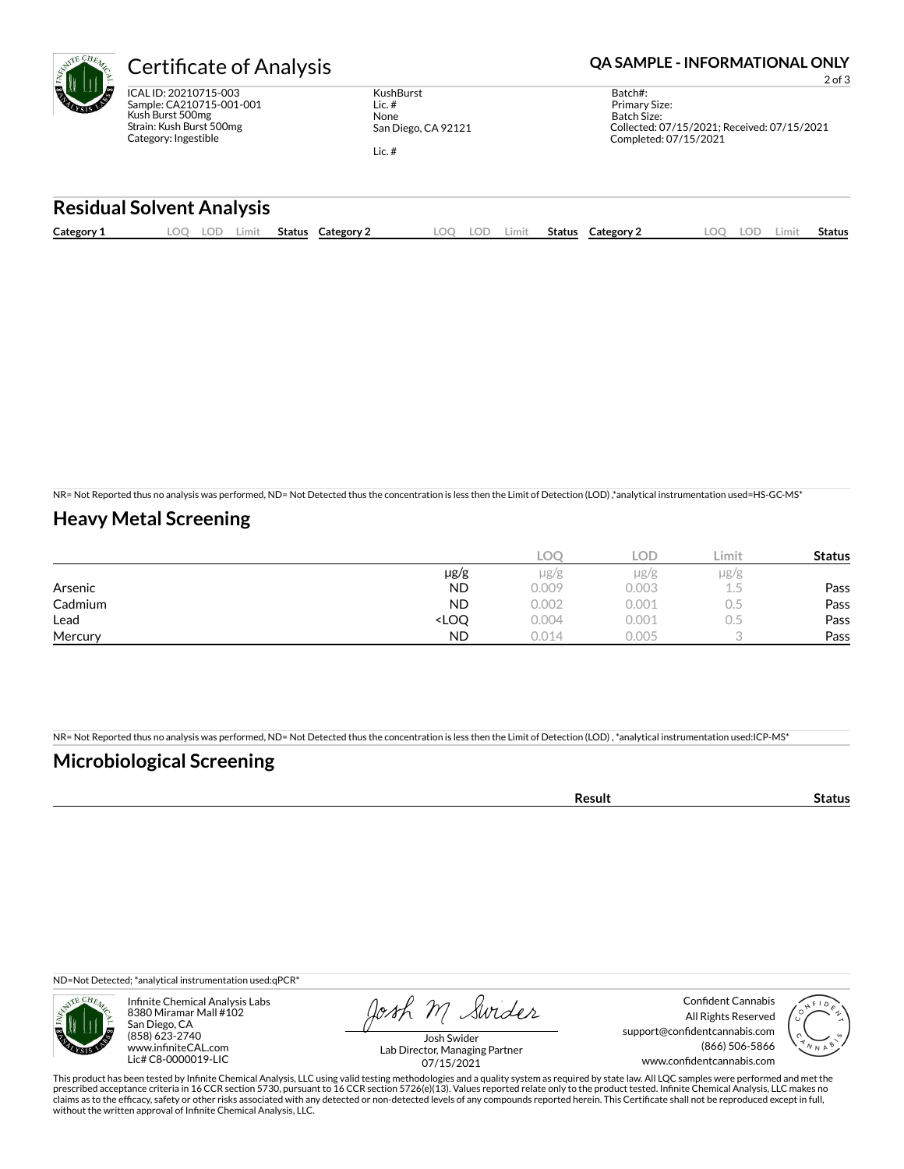

ICAL ID: 20210715-003 Sample: CA210715-001-001 Kush Burst 500mg Strain: Kush Burst 500mg Category: Ingestible

**KushBurst** Lic. # None San Diego, CA 92121 Lic. #

Certificate of Analysis **Certificate of Analysis QA SAMPLE - INFORMATIONAL ONLY** 

2 of 3

Batch#: Primary Size: Batch Size: Collected: 07/15/2021; Received: 07/15/2021 Completed: 07/15/2021

### **Residual Solvent Analysis**

| Category 1 | OO. | LOD | Limit | Status | <b>Category 2</b> | .OO | LOD | Limit | Status | <b>Category 2</b> | .OO | LOD | Limit | Status |
|------------|-----|-----|-------|--------|-------------------|-----|-----|-------|--------|-------------------|-----|-----|-------|--------|
|            |     |     |       |        |                   |     |     |       |        |                   |     |     |       |        |

NR= Not Reported thus no analysis was performed, ND= Not Detected thus the concentration is less then the Limit of Detection (LOD) ,\*analytical instrumentation used=HS-GC-MS\*

## **Heavy Metal Screening**

|         |                                                                          | LOC       | LOD       | Limit | <b>Status</b> |
|---------|--------------------------------------------------------------------------|-----------|-----------|-------|---------------|
|         | µg/g                                                                     | $\mu$ g/g | $\mu$ g/g | µg/g  |               |
| Arsenic | <b>ND</b>                                                                | 0.009     | 0.003     | ı.5   | Pass          |
| Cadmium | <b>ND</b>                                                                | 0.002     | 0.001     | U.5   | Pass          |
| Lead    | <loq< th=""><th>0.004</th><th>0.001</th><th>U.5</th><th>Pass</th></loq<> | 0.004     | 0.001     | U.5   | Pass          |
| Mercury | <b>ND</b>                                                                | 0.014     | 0.005     |       | Pass          |

NR= Not Reported thus no analysis was performed, ND= Not Detected thus the concentration is less then the Limit of Detection (LOD) , \*analytical instrumentation used:ICP-MS\*

## **Microbiological Screening**

| . |  |
|---|--|
|   |  |

ND=Not Detected; \*analytical instrumentation used:qPCR\*



Infinite Chemical Analysis Labs 8380 Miramar Mall #102 San Diego, CA (858) 623-2740 www.infiniteCAL.com Lic# C8-0000019-LIC

Josh M Swider

Confident Cannabis All Rights Reserved support@confidentcannabis.com (866) 506-5866 www.confidentcannabis.com



Josh Swider Lab Director, Managing Partner 07/15/2021

This product has been tested by Infinite Chemical Analysis, LLC using valid testing methodologies and a quality system as required by state law. All LQC samples were performed and met the<br>prescribed acceptance criteria in without the written approval of Infinite Chemical Analysis, LLC.